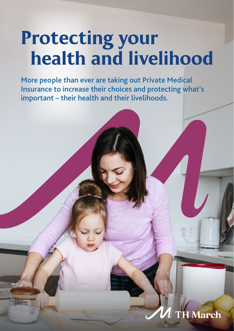# Protecting your health and livelihood

 $\frac{M}{I}$ More people than ever are taking out Private Medical Insurance to increase their choices and protecting what's important – their health and their livelihoods.